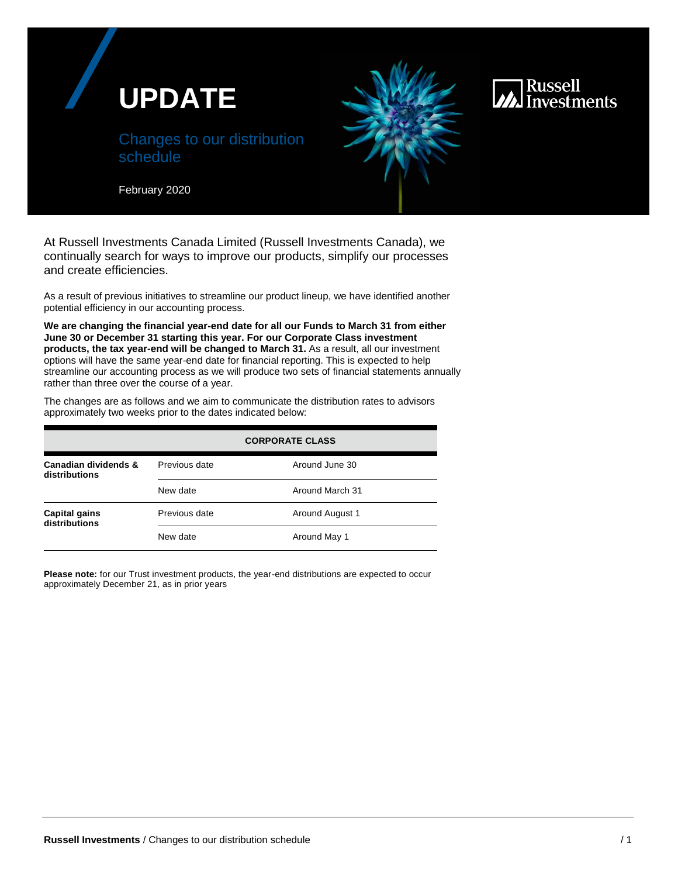



## Russell **Investments**

February 2020

At Russell Investments Canada Limited (Russell Investments Canada), we continually search for ways to improve our products, simplify our processes and create efficiencies.

As a result of previous initiatives to streamline our product lineup, we have identified another potential efficiency in our accounting process.

**We are changing the financial year-end date for all our Funds to March 31 from either June 30 or December 31 starting this year. For our Corporate Class investment products, the tax year-end will be changed to March 31.** As a result, all our investment options will have the same year-end date for financial reporting. This is expected to help streamline our accounting process as we will produce two sets of financial statements annually rather than three over the course of a year.

The changes are as follows and we aim to communicate the distribution rates to advisors approximately two weeks prior to the dates indicated below:

|                                       | <b>CORPORATE CLASS</b> |                 |
|---------------------------------------|------------------------|-----------------|
| Canadian dividends &<br>distributions | Previous date          | Around June 30  |
|                                       | New date               | Around March 31 |
| <b>Capital gains</b><br>distributions | Previous date          | Around August 1 |
|                                       | New date               | Around May 1    |

**Please note:** for our Trust investment products, the year-end distributions are expected to occur approximately December 21, as in prior years